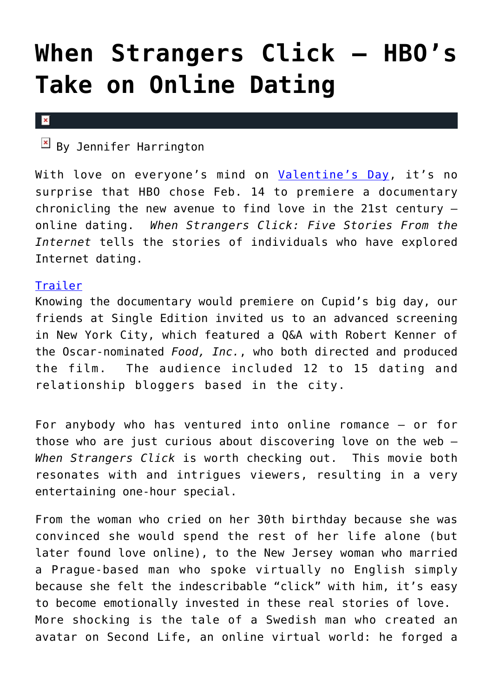## **[When Strangers Click – HBO's](https://cupidspulse.com/10342/when-strangers-click-hbos-take-on-online-dating/) [Take on Online Dating](https://cupidspulse.com/10342/when-strangers-click-hbos-take-on-online-dating/)**

## $\mathbf x$

 $\mathbb{E}$  By Jennifer Harrington

With love on everyone's mind on [Valentine's Day](https://cupidspulse.com/tag/valentines-day/), it's no surprise that HBO chose Feb. 14 to premiere a documentary chronicling the new avenue to find love in the 21st century – online dating. *When Strangers Click: Five Stories From the Internet* tells the stories of individuals who have explored Internet dating.

## [Trailer](http://www.hbo.com/video/video.html/?autoplay=true&vid=1156424&filter=all-documentaries&view=null)

Knowing the documentary would premiere on Cupid's big day, our friends at Single Edition invited us to an advanced screening in New York City, which featured a Q&A with Robert Kenner of the Oscar-nominated *Food, Inc.*, who both directed and produced the film. The audience included 12 to 15 dating and relationship bloggers based in the city.

For anybody who has ventured into online romance – or for those who are just curious about discovering love on the web – *When Strangers Click* is worth checking out. This movie both resonates with and intrigues viewers, resulting in a very entertaining one-hour special.

From the woman who cried on her 30th birthday because she was convinced she would spend the rest of her life alone (but later found love online), to the New Jersey woman who married a Prague-based man who spoke virtually no English simply because she felt the indescribable "click" with him, it's easy to become emotionally invested in these real stories of love. More shocking is the tale of a Swedish man who created an avatar on Second Life, an online virtual world: he forged a